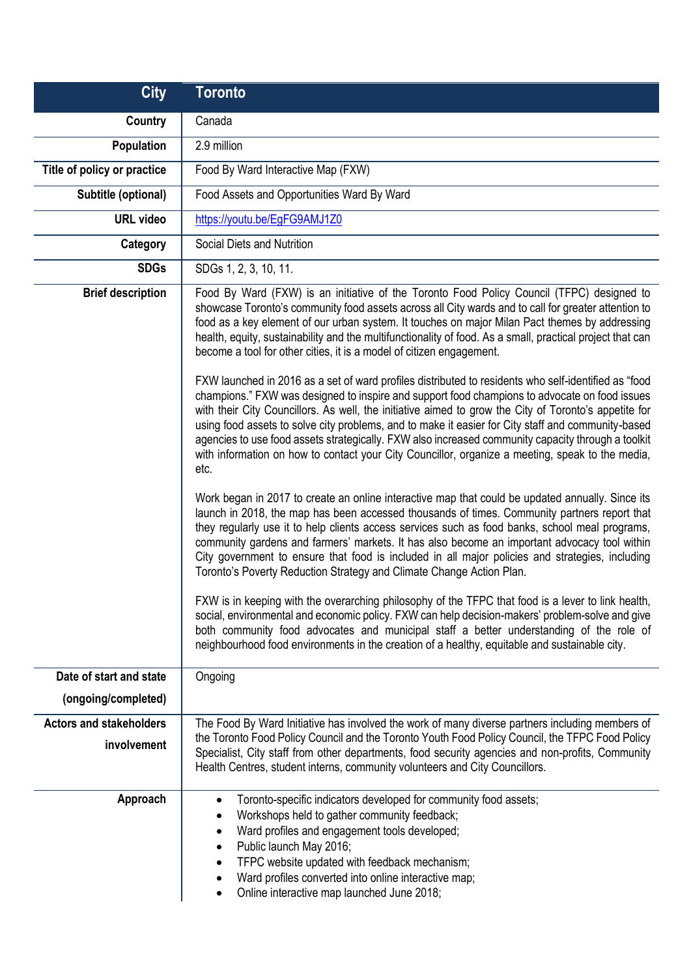| <b>City</b>                                    | <b>Toronto</b>                                                                                                                                                                                                                                                                                                                                                                                                                                                                                                                                                                                                                                                                                                                                                                                                                                                                                                                                                                                                                                                                                                                                                                                                                                                                                                                                                                                                                                                                                                                                                                                                                                                                                                                                                                                                                                                                                                                                                                                                                                                                                                           |
|------------------------------------------------|--------------------------------------------------------------------------------------------------------------------------------------------------------------------------------------------------------------------------------------------------------------------------------------------------------------------------------------------------------------------------------------------------------------------------------------------------------------------------------------------------------------------------------------------------------------------------------------------------------------------------------------------------------------------------------------------------------------------------------------------------------------------------------------------------------------------------------------------------------------------------------------------------------------------------------------------------------------------------------------------------------------------------------------------------------------------------------------------------------------------------------------------------------------------------------------------------------------------------------------------------------------------------------------------------------------------------------------------------------------------------------------------------------------------------------------------------------------------------------------------------------------------------------------------------------------------------------------------------------------------------------------------------------------------------------------------------------------------------------------------------------------------------------------------------------------------------------------------------------------------------------------------------------------------------------------------------------------------------------------------------------------------------------------------------------------------------------------------------------------------------|
| Country                                        | Canada                                                                                                                                                                                                                                                                                                                                                                                                                                                                                                                                                                                                                                                                                                                                                                                                                                                                                                                                                                                                                                                                                                                                                                                                                                                                                                                                                                                                                                                                                                                                                                                                                                                                                                                                                                                                                                                                                                                                                                                                                                                                                                                   |
| Population                                     | 2.9 million                                                                                                                                                                                                                                                                                                                                                                                                                                                                                                                                                                                                                                                                                                                                                                                                                                                                                                                                                                                                                                                                                                                                                                                                                                                                                                                                                                                                                                                                                                                                                                                                                                                                                                                                                                                                                                                                                                                                                                                                                                                                                                              |
| Title of policy or practice                    | Food By Ward Interactive Map (FXW)                                                                                                                                                                                                                                                                                                                                                                                                                                                                                                                                                                                                                                                                                                                                                                                                                                                                                                                                                                                                                                                                                                                                                                                                                                                                                                                                                                                                                                                                                                                                                                                                                                                                                                                                                                                                                                                                                                                                                                                                                                                                                       |
| Subtitle (optional)                            | Food Assets and Opportunities Ward By Ward                                                                                                                                                                                                                                                                                                                                                                                                                                                                                                                                                                                                                                                                                                                                                                                                                                                                                                                                                                                                                                                                                                                                                                                                                                                                                                                                                                                                                                                                                                                                                                                                                                                                                                                                                                                                                                                                                                                                                                                                                                                                               |
| <b>URL</b> video                               | https://youtu.be/EgFG9AMJ1Z0                                                                                                                                                                                                                                                                                                                                                                                                                                                                                                                                                                                                                                                                                                                                                                                                                                                                                                                                                                                                                                                                                                                                                                                                                                                                                                                                                                                                                                                                                                                                                                                                                                                                                                                                                                                                                                                                                                                                                                                                                                                                                             |
| Category                                       | Social Diets and Nutrition                                                                                                                                                                                                                                                                                                                                                                                                                                                                                                                                                                                                                                                                                                                                                                                                                                                                                                                                                                                                                                                                                                                                                                                                                                                                                                                                                                                                                                                                                                                                                                                                                                                                                                                                                                                                                                                                                                                                                                                                                                                                                               |
| <b>SDGs</b>                                    | SDGs 1, 2, 3, 10, 11.                                                                                                                                                                                                                                                                                                                                                                                                                                                                                                                                                                                                                                                                                                                                                                                                                                                                                                                                                                                                                                                                                                                                                                                                                                                                                                                                                                                                                                                                                                                                                                                                                                                                                                                                                                                                                                                                                                                                                                                                                                                                                                    |
| <b>Brief description</b>                       | Food By Ward (FXW) is an initiative of the Toronto Food Policy Council (TFPC) designed to<br>showcase Toronto's community food assets across all City wards and to call for greater attention to<br>food as a key element of our urban system. It touches on major Milan Pact themes by addressing<br>health, equity, sustainability and the multifunctionality of food. As a small, practical project that can<br>become a tool for other cities, it is a model of citizen engagement.<br>FXW launched in 2016 as a set of ward profiles distributed to residents who self-identified as "food<br>champions." FXW was designed to inspire and support food champions to advocate on food issues<br>with their City Councillors. As well, the initiative aimed to grow the City of Toronto's appetite for<br>using food assets to solve city problems, and to make it easier for City staff and community-based<br>agencies to use food assets strategically. FXW also increased community capacity through a toolkit<br>with information on how to contact your City Councillor, organize a meeting, speak to the media,<br>etc.<br>Work began in 2017 to create an online interactive map that could be updated annually. Since its<br>launch in 2018, the map has been accessed thousands of times. Community partners report that<br>they regularly use it to help clients access services such as food banks, school meal programs,<br>community gardens and farmers' markets. It has also become an important advocacy tool within<br>City government to ensure that food is included in all major policies and strategies, including<br>Toronto's Poverty Reduction Strategy and Climate Change Action Plan.<br>FXW is in keeping with the overarching philosophy of the TFPC that food is a lever to link health,<br>social, environmental and economic policy. FXW can help decision-makers' problem-solve and give<br>both community food advocates and municipal staff a better understanding of the role of<br>neighbourhood food environments in the creation of a healthy, equitable and sustainable city. |
|                                                |                                                                                                                                                                                                                                                                                                                                                                                                                                                                                                                                                                                                                                                                                                                                                                                                                                                                                                                                                                                                                                                                                                                                                                                                                                                                                                                                                                                                                                                                                                                                                                                                                                                                                                                                                                                                                                                                                                                                                                                                                                                                                                                          |
| Date of start and state<br>(ongoing/completed) | Ongoing                                                                                                                                                                                                                                                                                                                                                                                                                                                                                                                                                                                                                                                                                                                                                                                                                                                                                                                                                                                                                                                                                                                                                                                                                                                                                                                                                                                                                                                                                                                                                                                                                                                                                                                                                                                                                                                                                                                                                                                                                                                                                                                  |
| <b>Actors and stakeholders</b><br>involvement  | The Food By Ward Initiative has involved the work of many diverse partners including members of<br>the Toronto Food Policy Council and the Toronto Youth Food Policy Council, the TFPC Food Policy<br>Specialist, City staff from other departments, food security agencies and non-profits, Community<br>Health Centres, student interns, community volunteers and City Councillors.                                                                                                                                                                                                                                                                                                                                                                                                                                                                                                                                                                                                                                                                                                                                                                                                                                                                                                                                                                                                                                                                                                                                                                                                                                                                                                                                                                                                                                                                                                                                                                                                                                                                                                                                    |
| Approach                                       | Toronto-specific indicators developed for community food assets;<br>$\bullet$<br>Workshops held to gather community feedback;<br>٠<br>Ward profiles and engagement tools developed;<br>٠<br>Public launch May 2016;<br>٠<br>TFPC website updated with feedback mechanism;<br>٠<br>Ward profiles converted into online interactive map;<br>$\bullet$<br>Online interactive map launched June 2018;<br>$\bullet$                                                                                                                                                                                                                                                                                                                                                                                                                                                                                                                                                                                                                                                                                                                                                                                                                                                                                                                                                                                                                                                                                                                                                                                                                                                                                                                                                                                                                                                                                                                                                                                                                                                                                                           |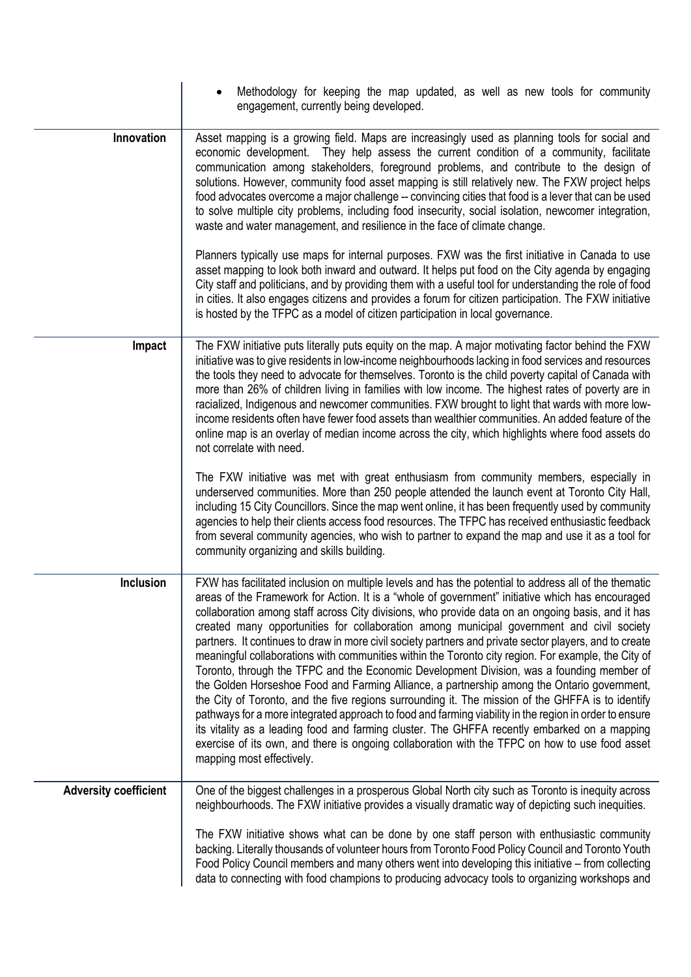|                              | Methodology for keeping the map updated, as well as new tools for community<br>engagement, currently being developed.                                                                                                                                                                                                                                                                                                                                                                                                                                                                                                                                                                                                                                                                                                                                                                                                                                                                                                                                                                                                                                                                                                                                                   |
|------------------------------|-------------------------------------------------------------------------------------------------------------------------------------------------------------------------------------------------------------------------------------------------------------------------------------------------------------------------------------------------------------------------------------------------------------------------------------------------------------------------------------------------------------------------------------------------------------------------------------------------------------------------------------------------------------------------------------------------------------------------------------------------------------------------------------------------------------------------------------------------------------------------------------------------------------------------------------------------------------------------------------------------------------------------------------------------------------------------------------------------------------------------------------------------------------------------------------------------------------------------------------------------------------------------|
| Innovation                   | Asset mapping is a growing field. Maps are increasingly used as planning tools for social and<br>economic development. They help assess the current condition of a community, facilitate<br>communication among stakeholders, foreground problems, and contribute to the design of<br>solutions. However, community food asset mapping is still relatively new. The FXW project helps<br>food advocates overcome a major challenge -- convincing cities that food is a lever that can be used<br>to solve multiple city problems, including food insecurity, social isolation, newcomer integration,<br>waste and water management, and resilience in the face of climate change.                                                                                                                                                                                                                                                                                                                                                                                                                                                                                                                                                                                       |
|                              | Planners typically use maps for internal purposes. FXW was the first initiative in Canada to use<br>asset mapping to look both inward and outward. It helps put food on the City agenda by engaging<br>City staff and politicians, and by providing them with a useful tool for understanding the role of food<br>in cities. It also engages citizens and provides a forum for citizen participation. The FXW initiative<br>is hosted by the TFPC as a model of citizen participation in local governance.                                                                                                                                                                                                                                                                                                                                                                                                                                                                                                                                                                                                                                                                                                                                                              |
| Impact                       | The FXW initiative puts literally puts equity on the map. A major motivating factor behind the FXW<br>initiative was to give residents in low-income neighbourhoods lacking in food services and resources<br>the tools they need to advocate for themselves. Toronto is the child poverty capital of Canada with<br>more than 26% of children living in families with low income. The highest rates of poverty are in<br>racialized, Indigenous and newcomer communities. FXW brought to light that wards with more low-<br>income residents often have fewer food assets than wealthier communities. An added feature of the<br>online map is an overlay of median income across the city, which highlights where food assets do<br>not correlate with need.                                                                                                                                                                                                                                                                                                                                                                                                                                                                                                          |
|                              | The FXW initiative was met with great enthusiasm from community members, especially in<br>underserved communities. More than 250 people attended the launch event at Toronto City Hall,<br>including 15 City Councillors. Since the map went online, it has been frequently used by community<br>agencies to help their clients access food resources. The TFPC has received enthusiastic feedback<br>from several community agencies, who wish to partner to expand the map and use it as a tool for<br>community organizing and skills building.                                                                                                                                                                                                                                                                                                                                                                                                                                                                                                                                                                                                                                                                                                                      |
| <b>Inclusion</b>             | FXW has facilitated inclusion on multiple levels and has the potential to address all of the thematic<br>areas of the Framework for Action. It is a "whole of government" initiative which has encouraged<br>collaboration among staff across City divisions, who provide data on an ongoing basis, and it has<br>created many opportunities for collaboration among municipal government and civil society<br>partners. It continues to draw in more civil society partners and private sector players, and to create<br>meaningful collaborations with communities within the Toronto city region. For example, the City of<br>Toronto, through the TFPC and the Economic Development Division, was a founding member of<br>the Golden Horseshoe Food and Farming Alliance, a partnership among the Ontario government,<br>the City of Toronto, and the five regions surrounding it. The mission of the GHFFA is to identify<br>pathways for a more integrated approach to food and farming viability in the region in order to ensure<br>its vitality as a leading food and farming cluster. The GHFFA recently embarked on a mapping<br>exercise of its own, and there is ongoing collaboration with the TFPC on how to use food asset<br>mapping most effectively. |
| <b>Adversity coefficient</b> | One of the biggest challenges in a prosperous Global North city such as Toronto is inequity across<br>neighbourhoods. The FXW initiative provides a visually dramatic way of depicting such inequities.<br>The FXW initiative shows what can be done by one staff person with enthusiastic community<br>backing. Literally thousands of volunteer hours from Toronto Food Policy Council and Toronto Youth<br>Food Policy Council members and many others went into developing this initiative – from collecting<br>data to connecting with food champions to producing advocacy tools to organizing workshops and                                                                                                                                                                                                                                                                                                                                                                                                                                                                                                                                                                                                                                                      |